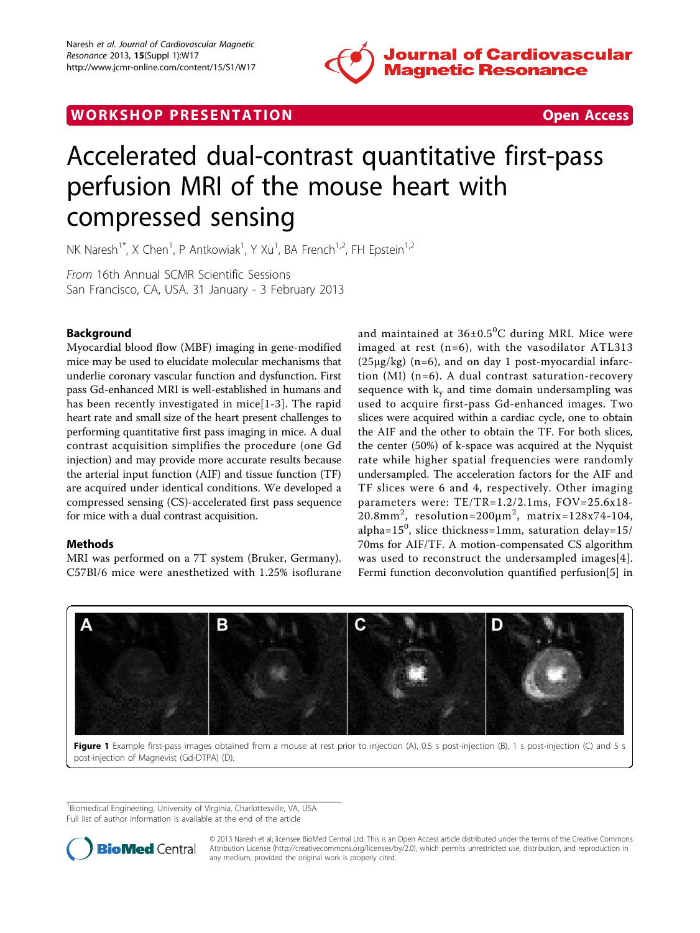

# <span id="page-0-0"></span>WORK SHOP PRESENTATION Open Access



# Accelerated dual-contrast quantitative first-pass perfusion MRI of the mouse heart with compressed sensing

NK Naresh<sup>1\*</sup>, X Chen<sup>1</sup>, P Antkowiak<sup>1</sup>, Y Xu<sup>1</sup>, BA French<sup>1,2</sup>, FH Epstein<sup>1,2</sup>

From 16th Annual SCMR Scientific Sessions San Francisco, CA, USA. 31 January - 3 February 2013

# Background

Myocardial blood flow (MBF) imaging in gene-modified mice may be used to elucidate molecular mechanisms that underlie coronary vascular function and dysfunction. First pass Gd-enhanced MRI is well-established in humans and has been recently investigated in mice[[1](#page-1-0)-[3](#page-1-0)]. The rapid heart rate and small size of the heart present challenges to performing quantitative first pass imaging in mice. A dual contrast acquisition simplifies the procedure (one Gd injection) and may provide more accurate results because the arterial input function (AIF) and tissue function (TF) are acquired under identical conditions. We developed a compressed sensing (CS)-accelerated first pass sequence for mice with a dual contrast acquisition.

# Methods

MRI was performed on a 7T system (Bruker, Germany). C57Bl/6 mice were anesthetized with 1.25% isoflurane

and maintained at  $36\pm0.5^{\circ}$ C during MRI. Mice were imaged at rest (n=6), with the vasodilator ATL313 (25μg/kg) (n=6), and on day 1 post-myocardial infarction (MI) (n=6). A dual contrast saturation-recovery sequence with  $k_v$  and time domain undersampling was used to acquire first-pass Gd-enhanced images. Two slices were acquired within a cardiac cycle, one to obtain the AIF and the other to obtain the TF. For both slices, the center (50%) of k-space was acquired at the Nyquist rate while higher spatial frequencies were randomly undersampled. The acceleration factors for the AIF and TF slices were 6 and 4, respectively. Other imaging parameters were: TE/TR=1.2/2.1ms, FOV=25.6x18- 20.8mm<sup>2</sup>, resolution=200 $\mu$ m<sup>2</sup>, matrix=128x74-104, alpha= $15^0$ , slice thickness=1mm, saturation delay= $15/$ 70ms for AIF/TF. A motion-compensated CS algorithm was used to reconstruct the undersampled images[[4](#page-1-0)]. Fermi function deconvolution quantified perfusion[[5\]](#page-1-0) in



Figure 1 Example first-pass images obtained from a mouse at rest prior to injection (A), 0.5 s post-injection (B), 1 s post-injection (C) and 5 s post-injection of Magnevist (Gd-DTPA) (D).

<sup>1</sup> Biomedical Engineering, University of Virginia, Charlottesville, VA, USA Full list of author information is available at the end of the article



© 2013 Naresh et al; licensee BioMed Central Ltd. This is an Open Access article distributed under the terms of the Creative Commons Attribution License [\(http://creativecommons.org/licenses/by/2.0](http://creativecommons.org/licenses/by/2.0)), which permits unrestricted use, distribution, and reproduction in any medium, provided the original work is properly cited.